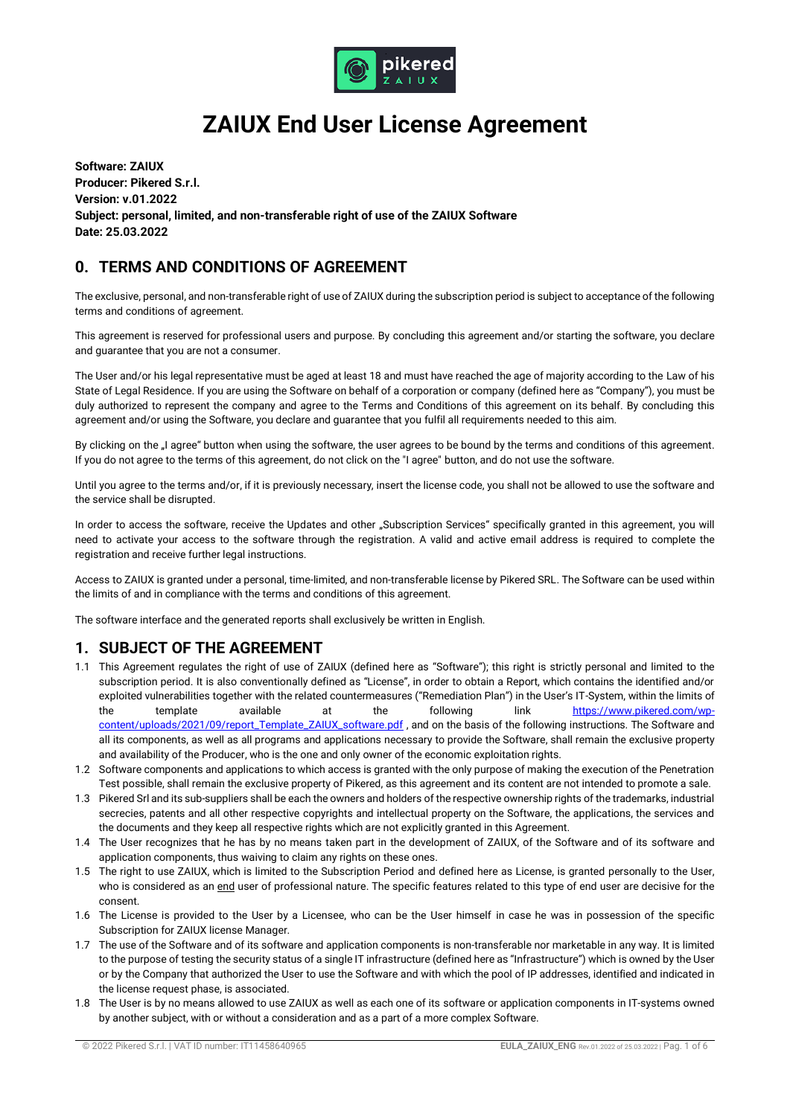

# **ZAIUX End User License Agreement**

**Software: ZAIUX Producer: Pikered S.r.l. Version: v.01.2022 Subject: personal, limited, and non-transferable right of use of the ZAIUX Software Date: 25.03.2022**

# **0. TERMS AND CONDITIONS OF AGREEMENT**

The exclusive, personal, and non-transferable right of use of ZAIUX during the subscription period is subject to acceptance of the following terms and conditions of agreement.

This agreement is reserved for professional users and purpose. By concluding this agreement and/or starting the software, you declare and guarantee that you are not a consumer.

The User and/or his legal representative must be aged at least 18 and must have reached the age of majority according to the Law of his State of Legal Residence. If you are using the Software on behalf of a corporation or company (defined here as "Company"), you must be duly authorized to represent the company and agree to the Terms and Conditions of this agreement on its behalf. By concluding this agreement and/or using the Software, you declare and guarantee that you fulfil all requirements needed to this aim.

By clicking on the "I agree" button when using the software, the user agrees to be bound by the terms and conditions of this agreement. If you do not agree to the terms of this agreement, do not click on the "I agree" button, and do not use the software.

Until you agree to the terms and/or, if it is previously necessary, insert the license code, you shall not be allowed to use the software and the service shall be disrupted.

In order to access the software, receive the Updates and other "Subscription Services" specifically granted in this agreement, you will need to activate your access to the software through the registration. A valid and active email address is required to complete the registration and receive further legal instructions.

Access to ZAIUX is granted under a personal, time-limited, and non-transferable license by Pikered SRL. The Software can be used within the limits of and in compliance with the terms and conditions of this agreement.

The software interface and the generated reports shall exclusively be written in English.

## **1. SUBJECT OF THE AGREEMENT**

- 1.1 This Agreement regulates the right of use of ZAIUX (defined here as "Software"); this right is strictly personal and limited to the subscription period. It is also conventionally defined as "License", in order to obtain a Report, which contains the identified and/or exploited vulnerabilities together with the related countermeasures ("Remediation Plan") in the User's IT-System, within the limits of the template available at the following link [https://www.pikered.com/wp](https://www.pikered.com/wp-content/uploads/2021/09/report_Template_ZAIUX_software.pdf)[content/uploads/2021/09/report\\_Template\\_ZAIUX\\_software.pdf](https://www.pikered.com/wp-content/uploads/2021/09/report_Template_ZAIUX_software.pdf), and on the basis of the following instructions. The Software and all its components, as well as all programs and applications necessary to provide the Software, shall remain the exclusive property and availability of the Producer, who is the one and only owner of the economic exploitation rights.
- 1.2 Software components and applications to which access is granted with the only purpose of making the execution of the Penetration Test possible, shall remain the exclusive property of Pikered, as this agreement and its content are not intended to promote a sale.
- 1.3 Pikered Srl and its sub-suppliers shall be each the owners and holders of the respective ownership rights of the trademarks, industrial secrecies, patents and all other respective copyrights and intellectual property on the Software, the applications, the services and the documents and they keep all respective rights which are not explicitly granted in this Agreement.
- 1.4 The User recognizes that he has by no means taken part in the development of ZAIUX, of the Software and of its software and application components, thus waiving to claim any rights on these ones.
- 1.5 The right to use ZAIUX, which is limited to the Subscription Period and defined here as License, is granted personally to the User, who is considered as an end user of professional nature. The specific features related to this type of end user are decisive for the consent.
- 1.6 The License is provided to the User by a Licensee, who can be the User himself in case he was in possession of the specific Subscription for ZAIUX license Manager.
- 1.7 The use of the Software and of its software and application components is non-transferable nor marketable in any way. It is limited to the purpose of testing the security status of a single IT infrastructure (defined here as "Infrastructure") which is owned by the User or by the Company that authorized the User to use the Software and with which the pool of IP addresses, identified and indicated in the license request phase, is associated.
- 1.8 The User is by no means allowed to use ZAIUX as well as each one of its software or application components in IT-systems owned by another subject, with or without a consideration and as a part of a more complex Software.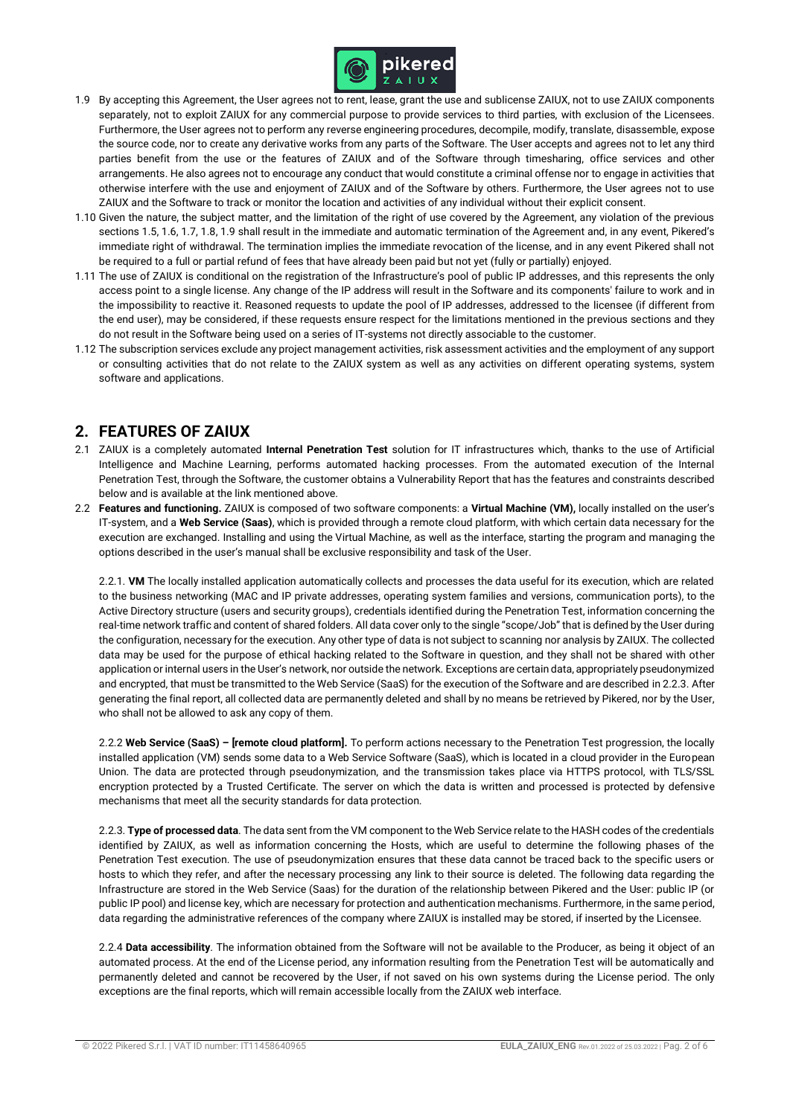

- 1.9 By accepting this Agreement, the User agrees not to rent, lease, grant the use and sublicense ZAIUX, not to use ZAIUX components separately, not to exploit ZAIUX for any commercial purpose to provide services to third parties, with exclusion of the Licensees. Furthermore, the User agrees not to perform any reverse engineering procedures, decompile, modify, translate, disassemble, expose the source code, nor to create any derivative works from any parts of the Software. The User accepts and agrees not to let any third parties benefit from the use or the features of ZAIUX and of the Software through timesharing, office services and other arrangements. He also agrees not to encourage any conduct that would constitute a criminal offense nor to engage in activities that otherwise interfere with the use and enjoyment of ZAIUX and of the Software by others. Furthermore, the User agrees not to use ZAIUX and the Software to track or monitor the location and activities of any individual without their explicit consent.
- 1.10 Given the nature, the subject matter, and the limitation of the right of use covered by the Agreement, any violation of the previous sections 1.5, 1.6, 1.7, 1.8, 1.9 shall result in the immediate and automatic termination of the Agreement and, in any event, Pikered's immediate right of withdrawal. The termination implies the immediate revocation of the license, and in any event Pikered shall not be required to a full or partial refund of fees that have already been paid but not yet (fully or partially) enjoyed.
- 1.11 The use of ZAIUX is conditional on the registration of the Infrastructure's pool of public IP addresses, and this represents the only access point to a single license. Any change of the IP address will result in the Software and its components' failure to work and in the impossibility to reactive it. Reasoned requests to update the pool of IP addresses, addressed to the licensee (if different from the end user), may be considered, if these requests ensure respect for the limitations mentioned in the previous sections and they do not result in the Software being used on a series of IT-systems not directly associable to the customer.
- 1.12 The subscription services exclude any project management activities, risk assessment activities and the employment of any support or consulting activities that do not relate to the ZAIUX system as well as any activities on different operating systems, system software and applications.

# **2. FEATURES OF ZAIUX**

- 2.1 ZAIUX is a completely automated **Internal Penetration Test** solution for IT infrastructures which, thanks to the use of Artificial Intelligence and Machine Learning, performs automated hacking processes. From the automated execution of the Internal Penetration Test, through the Software, the customer obtains a Vulnerability Report that has the features and constraints described below and is available at the link mentioned above.
- 2.2 **Features and functioning.** ZAIUX is composed of two software components: a **Virtual Machine (VM),** locally installed on the user's IT-system, and a **Web Service (Saas)**, which is provided through a remote cloud platform, with which certain data necessary for the execution are exchanged. Installing and using the Virtual Machine, as well as the interface, starting the program and managing the options described in the user's manual shall be exclusive responsibility and task of the User.

2.2.1. **VM** The locally installed application automatically collects and processes the data useful for its execution, which are related to the business networking (MAC and IP private addresses, operating system families and versions, communication ports), to the Active Directory structure (users and security groups), credentials identified during the Penetration Test, information concerning the real-time network traffic and content of shared folders. All data cover only to the single "scope/Job" that is defined by the User during the configuration, necessary for the execution. Any other type of data is not subject to scanning nor analysis by ZAIUX. The collected data may be used for the purpose of ethical hacking related to the Software in question, and they shall not be shared with other application or internal users in the User's network, nor outside the network. Exceptions are certain data, appropriately pseudonymized and encrypted, that must be transmitted to the Web Service (SaaS) for the execution of the Software and are described in 2.2.3. After generating the final report, all collected data are permanently deleted and shall by no means be retrieved by Pikered, nor by the User, who shall not be allowed to ask any copy of them.

2.2.2 **Web Service (SaaS) – [remote cloud platform].** To perform actions necessary to the Penetration Test progression, the locally installed application (VM) sends some data to a Web Service Software (SaaS), which is located in a cloud provider in the European Union. The data are protected through pseudonymization, and the transmission takes place via HTTPS protocol, with TLS/SSL encryption protected by a Trusted Certificate. The server on which the data is written and processed is protected by defensive mechanisms that meet all the security standards for data protection.

2.2.3. **Type of processed data**. The data sent from the VM component to the Web Service relate to the HASH codes of the credentials identified by ZAIUX, as well as information concerning the Hosts, which are useful to determine the following phases of the Penetration Test execution. The use of pseudonymization ensures that these data cannot be traced back to the specific users or hosts to which they refer, and after the necessary processing any link to their source is deleted. The following data regarding the Infrastructure are stored in the Web Service (Saas) for the duration of the relationship between Pikered and the User: public IP (or public IP pool) and license key, which are necessary for protection and authentication mechanisms. Furthermore, in the same period, data regarding the administrative references of the company where ZAIUX is installed may be stored, if inserted by the Licensee.

2.2.4 **Data accessibility**. The information obtained from the Software will not be available to the Producer, as being it object of an automated process. At the end of the License period, any information resulting from the Penetration Test will be automatically and permanently deleted and cannot be recovered by the User, if not saved on his own systems during the License period. The only exceptions are the final reports, which will remain accessible locally from the ZAIUX web interface.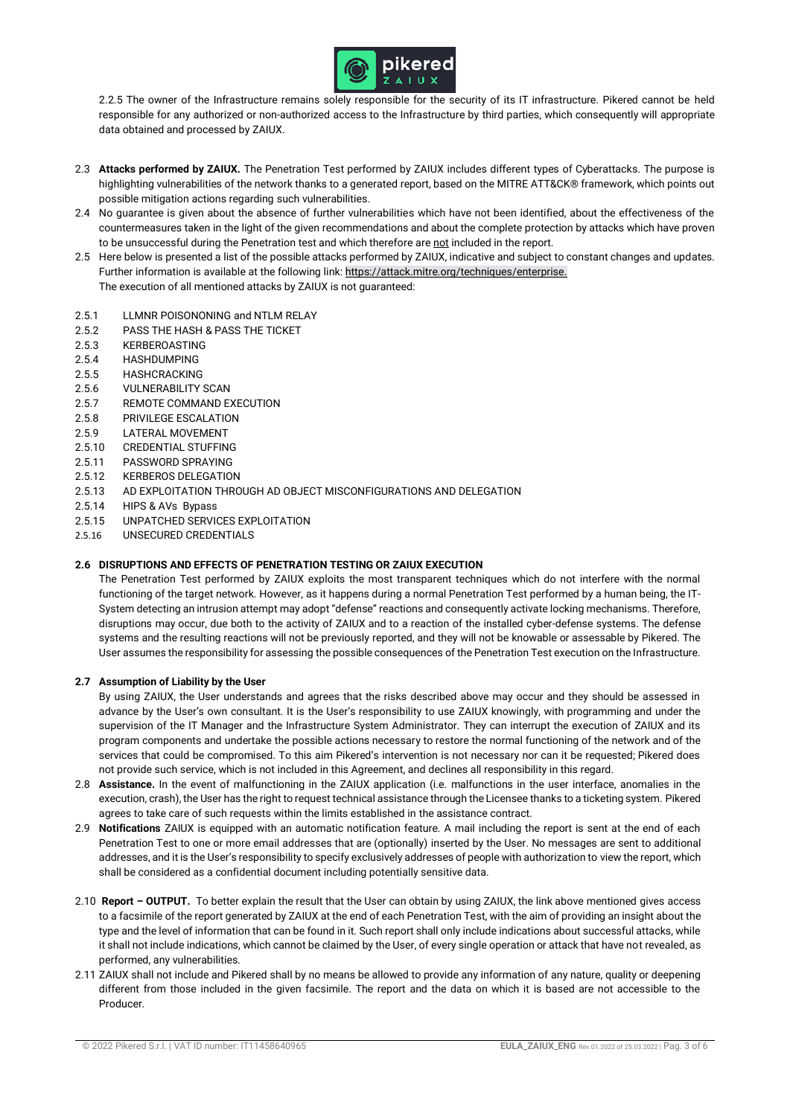

2.2.5 The owner of the Infrastructure remains solely responsible for the security of its IT infrastructure. Pikered cannot be held responsible for any authorized or non-authorized access to the Infrastructure by third parties, which consequently will appropriate data obtained and processed by ZAIUX.

- 2.3 **Attacks performed by ZAIUX.** The Penetration Test performed by ZAIUX includes different types of Cyberattacks. The purpose is highlighting vulnerabilities of the network thanks to a generated report, based on the MITRE ATT&CK® framework, which points out possible mitigation actions regarding such vulnerabilities.
- 2.4 No guarantee is given about the absence of further vulnerabilities which have not been identified, about the effectiveness of the countermeasures taken in the light of the given recommendations and about the complete protection by attacks which have proven to be unsuccessful during the Penetration test and which therefore are not included in the report.
- 2.5 Here below is presented a list of the possible attacks performed by ZAIUX, indicative and subject to constant changes and updates. Further information is available at the following link[: https://attack.mitre.org/techniques/enterprise.](https://attack.mitre.org/techniques/enterprise)
	- The execution of all mentioned attacks by ZAIUX is not guaranteed:
- 2.5.1 LLMNR POISONONING and NTLM RELAY
- 2.5.2 PASS THE HASH & PASS THE TICKET
- 2.5.3 KERBEROASTING
- 2.5.4 HASHDUMPING
- 2.5.5 HASHCRACKING
- 2.5.6 VULNERABILITY SCAN
- 2.5.7 REMOTE COMMAND EXECUTION
- 2.5.8 PRIVILEGE ESCALATION
- 2.5.9 LATERAL MOVEMENT
- 2.5.10 CREDENTIAL STUFFING
- 2.5.11 PASSWORD SPRAYING
- 2.5.12 KERBEROS DELEGATION
- 2.5.13 AD EXPLOITATION THROUGH AD OBJECT MISCONFIGURATIONS AND DELEGATION
- 2.5.14 HIPS & AVs Bypass
- 2.5.15 UNPATCHED SERVICES EXPLOITATION
- 2.5.16 UNSECURED CREDENTIALS

#### **2.6 DISRUPTIONS AND EFFECTS OF PENETRATION TESTING OR ZAIUX EXECUTION**

The Penetration Test performed by ZAIUX exploits the most transparent techniques which do not interfere with the normal functioning of the target network. However, as it happens during a normal Penetration Test performed by a human being, the IT-System detecting an intrusion attempt may adopt "defense" reactions and consequently activate locking mechanisms. Therefore, disruptions may occur, due both to the activity of ZAIUX and to a reaction of the installed cyber-defense systems. The defense systems and the resulting reactions will not be previously reported, and they will not be knowable or assessable by Pikered. The User assumes the responsibility for assessing the possible consequences of the Penetration Test execution on the Infrastructure.

#### **2.7 Assumption of Liability by the User**

By using ZAIUX, the User understands and agrees that the risks described above may occur and they should be assessed in advance by the User's own consultant. It is the User's responsibility to use ZAIUX knowingly, with programming and under the supervision of the IT Manager and the Infrastructure System Administrator. They can interrupt the execution of ZAIUX and its program components and undertake the possible actions necessary to restore the normal functioning of the network and of the services that could be compromised. To this aim Pikered's intervention is not necessary nor can it be requested; Pikered does not provide such service, which is not included in this Agreement, and declines all responsibility in this regard.

- 2.8 **Assistance.** In the event of malfunctioning in the ZAIUX application (i.e. malfunctions in the user interface, anomalies in the execution, crash), the User has the right to request technical assistance through the Licensee thanks to a ticketing system. Pikered agrees to take care of such requests within the limits established in the assistance contract.
- 2.9 **Notifications** ZAIUX is equipped with an automatic notification feature. A mail including the report is sent at the end of each Penetration Test to one or more email addresses that are (optionally) inserted by the User. No messages are sent to additional addresses, and it is the User's responsibility to specify exclusively addresses of people with authorization to view the report, which shall be considered as a confidential document including potentially sensitive data.
- 2.10 **Report – OUTPUT.** To better explain the result that the User can obtain by using ZAIUX, the link above mentioned gives access to a facsimile of the report generated by ZAIUX at the end of each Penetration Test, with the aim of providing an insight about the type and the level of information that can be found in it. Such report shall only include indications about successful attacks, while it shall not include indications, which cannot be claimed by the User, of every single operation or attack that have not revealed, as performed, any vulnerabilities.
- 2.11 ZAIUX shall not include and Pikered shall by no means be allowed to provide any information of any nature, quality or deepening different from those included in the given facsimile. The report and the data on which it is based are not accessible to the Producer.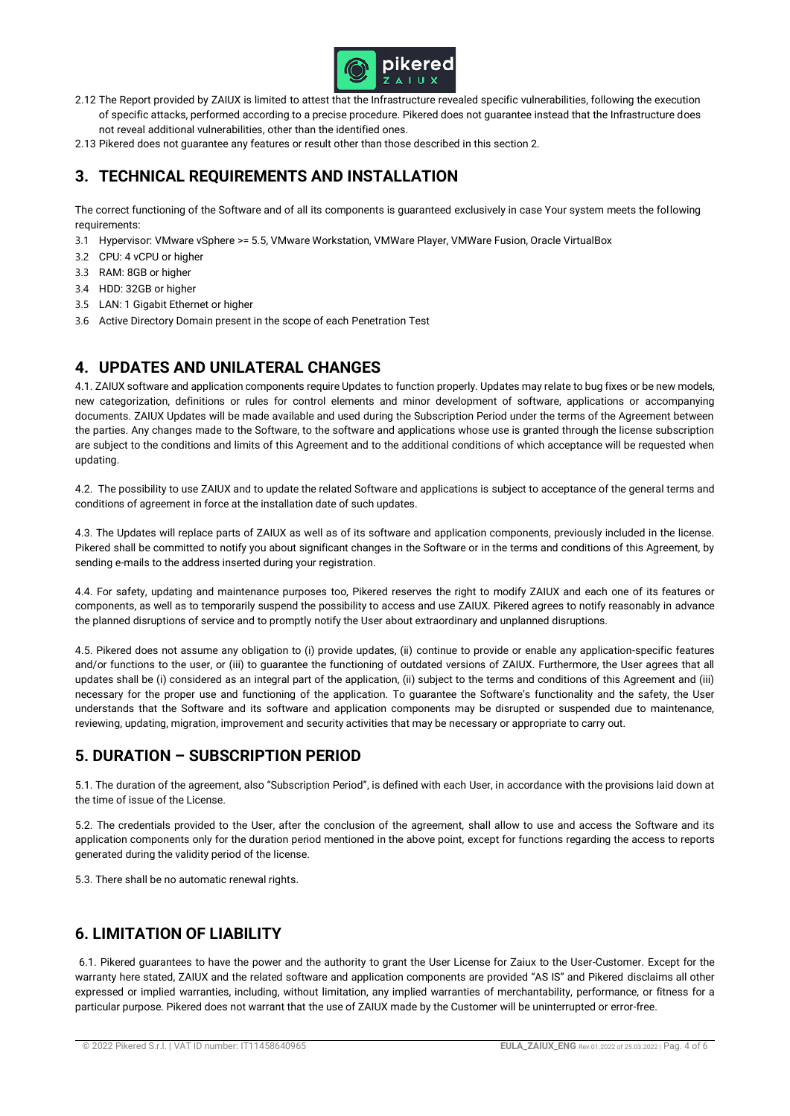

- 2.12 The Report provided by ZAIUX is limited to attest that the Infrastructure revealed specific vulnerabilities, following the execution of specific attacks, performed according to a precise procedure. Pikered does not guarantee instead that the Infrastructure does not reveal additional vulnerabilities, other than the identified ones.
- 2.13 Pikered does not guarantee any features or result other than those described in this section 2.

# **3. TECHNICAL REQUIREMENTS AND INSTALLATION**

The correct functioning of the Software and of all its components is guaranteed exclusively in case Your system meets the following requirements:

- 3.1 Hypervisor: VMware vSphere >= 5.5, VMware Workstation, VMWare Player, VMWare Fusion, Oracle VirtualBox
- 3.2 CPU: 4 vCPU or higher
- 3.3 RAM: 8GB or higher
- 3.4 HDD: 32GB or higher
- 3.5 LAN: 1 Gigabit Ethernet or higher
- 3.6 Active Directory Domain present in the scope of each Penetration Test

## **4. UPDATES AND UNILATERAL CHANGES**

4.1. ZAIUX software and application components require Updates to function properly. Updates may relate to bug fixes or be new models, new categorization, definitions or rules for control elements and minor development of software, applications or accompanying documents. ZAIUX Updates will be made available and used during the Subscription Period under the terms of the Agreement between the parties. Any changes made to the Software, to the software and applications whose use is granted through the license subscription are subject to the conditions and limits of this Agreement and to the additional conditions of which acceptance will be requested when updating.

4.2. The possibility to use ZAIUX and to update the related Software and applications is subject to acceptance of the general terms and conditions of agreement in force at the installation date of such updates.

4.3. The Updates will replace parts of ZAIUX as well as of its software and application components, previously included in the license. Pikered shall be committed to notify you about significant changes in the Software or in the terms and conditions of this Agreement, by sending e-mails to the address inserted during your registration.

4.4. For safety, updating and maintenance purposes too, Pikered reserves the right to modify ZAIUX and each one of its features or components, as well as to temporarily suspend the possibility to access and use ZAIUX. Pikered agrees to notify reasonably in advance the planned disruptions of service and to promptly notify the User about extraordinary and unplanned disruptions.

4.5. Pikered does not assume any obligation to (i) provide updates, (ii) continue to provide or enable any application-specific features and/or functions to the user, or (iii) to guarantee the functioning of outdated versions of ZAIUX. Furthermore, the User agrees that all updates shall be (i) considered as an integral part of the application, (ii) subject to the terms and conditions of this Agreement and (iii) necessary for the proper use and functioning of the application. To guarantee the Software's functionality and the safety, the User understands that the Software and its software and application components may be disrupted or suspended due to maintenance, reviewing, updating, migration, improvement and security activities that may be necessary or appropriate to carry out.

# **5. DURATION – SUBSCRIPTION PERIOD**

5.1. The duration of the agreement, also "Subscription Period", is defined with each User, in accordance with the provisions laid down at the time of issue of the License.

5.2. The credentials provided to the User, after the conclusion of the agreement, shall allow to use and access the Software and its application components only for the duration period mentioned in the above point, except for functions regarding the access to reports generated during the validity period of the license.

5.3. There shall be no automatic renewal rights.

# **6. LIMITATION OF LIABILITY**

6.1. Pikered guarantees to have the power and the authority to grant the User License for Zaiux to the User-Customer. Except for the warranty here stated, ZAIUX and the related software and application components are provided "AS IS" and Pikered disclaims all other expressed or implied warranties, including, without limitation, any implied warranties of merchantability, performance, or fitness for a particular purpose. Pikered does not warrant that the use of ZAIUX made by the Customer will be uninterrupted or error-free.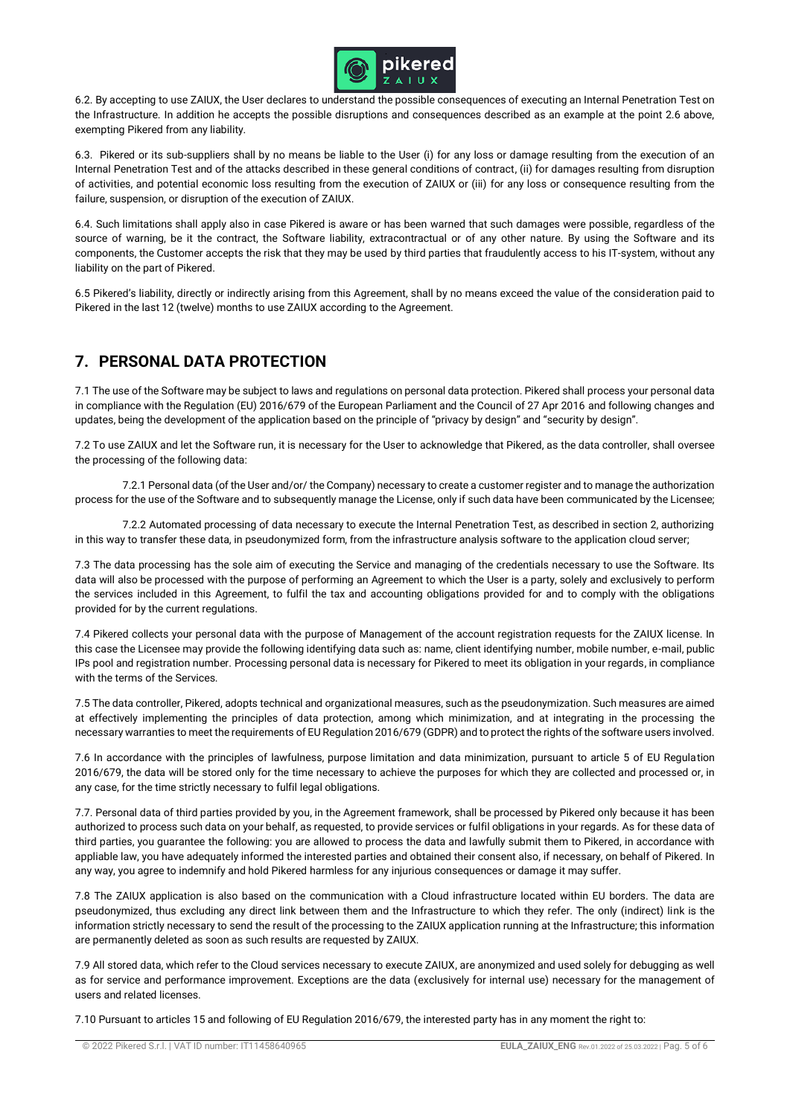

6.2. By accepting to use ZAIUX, the User declares to understand the possible consequences of executing an Internal Penetration Test on the Infrastructure. In addition he accepts the possible disruptions and consequences described as an example at the point 2.6 above, exempting Pikered from any liability.

6.3. Pikered or its sub-suppliers shall by no means be liable to the User (i) for any loss or damage resulting from the execution of an Internal Penetration Test and of the attacks described in these general conditions of contract, (ii) for damages resulting from disruption of activities, and potential economic loss resulting from the execution of ZAIUX or (iii) for any loss or consequence resulting from the failure, suspension, or disruption of the execution of ZAIUX.

6.4. Such limitations shall apply also in case Pikered is aware or has been warned that such damages were possible, regardless of the source of warning, be it the contract, the Software liability, extracontractual or of any other nature. By using the Software and its components, the Customer accepts the risk that they may be used by third parties that fraudulently access to his IT-system, without any liability on the part of Pikered.

6.5 Pikered's liability, directly or indirectly arising from this Agreement, shall by no means exceed the value of the consideration paid to Pikered in the last 12 (twelve) months to use ZAIUX according to the Agreement.

# **7. PERSONAL DATA PROTECTION**

7.1 The use of the Software may be subject to laws and regulations on personal data protection. Pikered shall process your personal data in compliance with the Regulation (EU) 2016/679 of the European Parliament and the Council of 27 Apr 2016 and following changes and updates, being the development of the application based on the principle of "privacy by design" and "security by design".

7.2 To use ZAIUX and let the Software run, it is necessary for the User to acknowledge that Pikered, as the data controller, shall oversee the processing of the following data:

 7.2.1 Personal data (of the User and/or/ the Company) necessary to create a customer register and to manage the authorization process for the use of the Software and to subsequently manage the License, only if such data have been communicated by the Licensee;

 7.2.2 Automated processing of data necessary to execute the Internal Penetration Test, as described in section 2, authorizing in this way to transfer these data, in pseudonymized form, from the infrastructure analysis software to the application cloud server;

7.3 The data processing has the sole aim of executing the Service and managing of the credentials necessary to use the Software. Its data will also be processed with the purpose of performing an Agreement to which the User is a party, solely and exclusively to perform the services included in this Agreement, to fulfil the tax and accounting obligations provided for and to comply with the obligations provided for by the current regulations.

7.4 Pikered collects your personal data with the purpose of Management of the account registration requests for the ZAIUX license. In this case the Licensee may provide the following identifying data such as: name, client identifying number, mobile number, e-mail, public IPs pool and registration number. Processing personal data is necessary for Pikered to meet its obligation in your regards, in compliance with the terms of the Services.

7.5 The data controller, Pikered, adopts technical and organizational measures, such as the pseudonymization. Such measures are aimed at effectively implementing the principles of data protection, among which minimization, and at integrating in the processing the necessary warranties to meet the requirements of EU Regulation 2016/679 (GDPR) and to protect the rights of the software users involved.

7.6 In accordance with the principles of lawfulness, purpose limitation and data minimization, pursuant to article 5 of EU Regulation 2016/679, the data will be stored only for the time necessary to achieve the purposes for which they are collected and processed or, in any case, for the time strictly necessary to fulfil legal obligations.

7.7. Personal data of third parties provided by you, in the Agreement framework, shall be processed by Pikered only because it has been authorized to process such data on your behalf, as requested, to provide services or fulfil obligations in your regards. As for these data of third parties, you guarantee the following: you are allowed to process the data and lawfully submit them to Pikered, in accordance with appliable law, you have adequately informed the interested parties and obtained their consent also, if necessary, on behalf of Pikered. In any way, you agree to indemnify and hold Pikered harmless for any injurious consequences or damage it may suffer.

7.8 The ZAIUX application is also based on the communication with a Cloud infrastructure located within EU borders. The data are pseudonymized, thus excluding any direct link between them and the Infrastructure to which they refer. The only (indirect) link is the information strictly necessary to send the result of the processing to the ZAIUX application running at the Infrastructure; this information are permanently deleted as soon as such results are requested by ZAIUX.

7.9 All stored data, which refer to the Cloud services necessary to execute ZAIUX, are anonymized and used solely for debugging as well as for service and performance improvement. Exceptions are the data (exclusively for internal use) necessary for the management of users and related licenses.

7.10 Pursuant to articles 15 and following of EU Regulation 2016/679, the interested party has in any moment the right to: